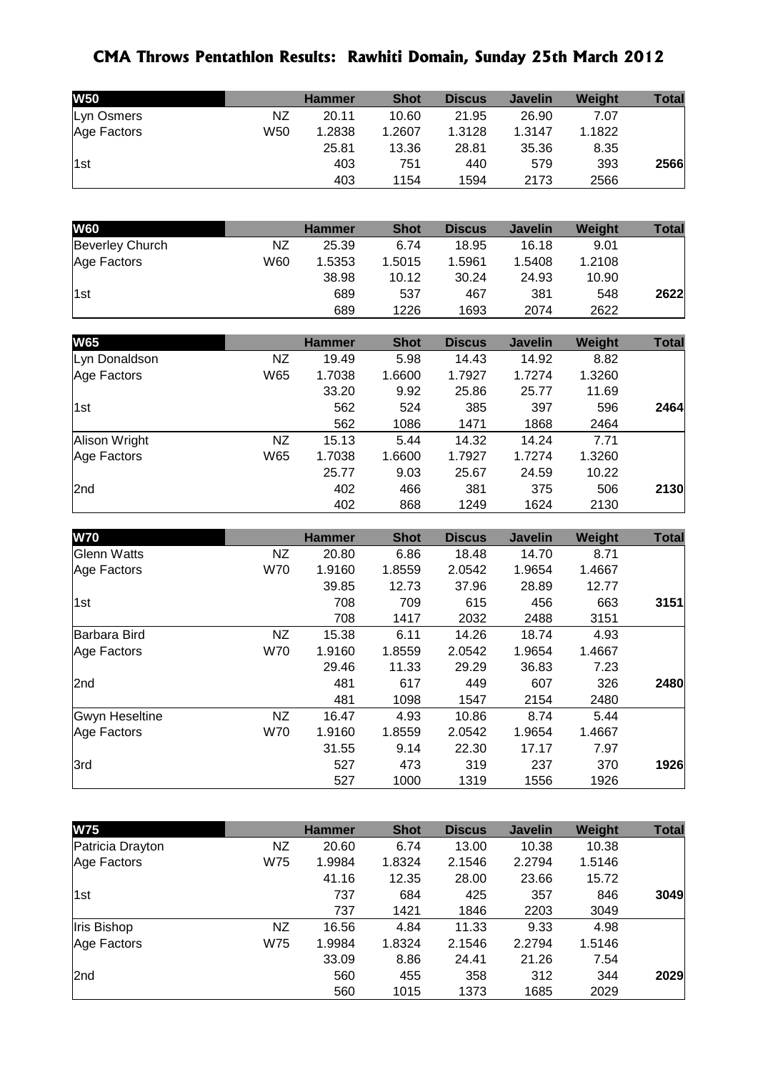## **CMA Throws Pentathlon Results: Rawhiti Domain, Sunday 25th March 2012**

| <b>W50</b>  |     | <b>Hammer</b> | <b>Shot</b> | <b>Discus</b> | <b>Javelin</b> | <b>Weight</b> | <b>Total</b> |
|-------------|-----|---------------|-------------|---------------|----------------|---------------|--------------|
| Lyn Osmers  | NZ  | 20.11         | 10.60       | 21.95         | 26.90          | 7.07          |              |
| Age Factors | W50 | 1.2838        | 1.2607      | 1.3128        | 1.3147         | 1.1822        |              |
|             |     | 25.81         | 13.36       | 28.81         | 35.36          | 8.35          |              |
| 1st         |     | 403           | 751         | 440           | 579            | 393           | 2566         |
|             |     | 403           | 1154        | 1594          | 2173           | 2566          |              |

| <b>W60</b>             |     | <b>Hammer</b> | <b>Shot</b> | <b>Discus</b> | <b>Javelin</b> | Weight | Total |
|------------------------|-----|---------------|-------------|---------------|----------------|--------|-------|
| <b>Beverley Church</b> | NZ  | 25.39         | 6.74        | 18.95         | 16.18          | 9.01   |       |
| Age Factors            | W60 | 1.5353        | 1.5015      | 1.5961        | 1.5408         | 1.2108 |       |
|                        |     | 38.98         | 10.12       | 30.24         | 24.93          | 10.90  |       |
| 1st                    |     | 689           | 537         | 467           | 381            | 548    | 2622  |
|                        |     | 689           | 1226        | 1693          | 2074           | 2622   |       |

| <b>W65</b>      |     | <b>Hammer</b> | <b>Shot</b> | <b>Discus</b> | <b>Javelin</b> | Weight | <b>Total</b> |
|-----------------|-----|---------------|-------------|---------------|----------------|--------|--------------|
| Lyn Donaldson   | NZ. | 19.49         | 5.98        | 14.43         | 14.92          | 8.82   |              |
| Age Factors     | W65 | 1.7038        | 1.6600      | 1.7927        | 1.7274         | 1.3260 |              |
|                 |     | 33.20         | 9.92        | 25.86         | 25.77          | 11.69  |              |
| 1st             |     | 562           | 524         | 385           | 397            | 596    | 2464         |
|                 |     | 562           | 1086        | 1471          | 1868           | 2464   |              |
| Alison Wright   | NZ  | 15.13         | 5.44        | 14.32         | 14.24          | 7.71   |              |
| Age Factors     | W65 | 1.7038        | 1.6600      | 1.7927        | 1.7274         | 1.3260 |              |
|                 |     | 25.77         | 9.03        | 25.67         | 24.59          | 10.22  |              |
| 2 <sub>nd</sub> |     | 402           | 466         | 381           | 375            | 506    | 2130         |
|                 |     | 402           | 868         | 1249          | 1624           | 2130   |              |

| <b>W70</b>            |            | <b>Hammer</b> | <b>Shot</b> | <b>Discus</b> | <b>Javelin</b> | Weight | <b>Total</b> |
|-----------------------|------------|---------------|-------------|---------------|----------------|--------|--------------|
| <b>Glenn Watts</b>    | NZ.        | 20.80         | 6.86        | 18.48         | 14.70          | 8.71   |              |
| Age Factors           | <b>W70</b> | 1.9160        | 1.8559      | 2.0542        | 1.9654         | 1.4667 |              |
|                       |            | 39.85         | 12.73       | 37.96         | 28.89          | 12.77  |              |
| 1st                   |            | 708           | 709         | 615           | 456            | 663    | 3151         |
|                       |            | 708           | 1417        | 2032          | 2488           | 3151   |              |
| Barbara Bird          | NZ         | 15.38         | 6.11        | 14.26         | 18.74          | 4.93   |              |
| Age Factors           | <b>W70</b> | 1.9160        | 1.8559      | 2.0542        | 1.9654         | 1.4667 |              |
|                       |            | 29.46         | 11.33       | 29.29         | 36.83          | 7.23   |              |
| 2nd                   |            | 481           | 617         | 449           | 607            | 326    | 2480         |
|                       |            | 481           | 1098        | 1547          | 2154           | 2480   |              |
| <b>Gwyn Heseltine</b> | <b>NZ</b>  | 16.47         | 4.93        | 10.86         | 8.74           | 5.44   |              |
| Age Factors           | <b>W70</b> | 1.9160        | 1.8559      | 2.0542        | 1.9654         | 1.4667 |              |
|                       |            | 31.55         | 9.14        | 22.30         | 17.17          | 7.97   |              |
| 3rd                   |            | 527           | 473         | 319           | 237            | 370    | 1926         |
|                       |            | 527           | 1000        | 1319          | 1556           | 1926   |              |

| <b>W75</b>       |     | <b>Hammer</b> | <b>Shot</b> | <b>Discus</b> | <b>Javelin</b> | Weight | <b>Total</b> |
|------------------|-----|---------------|-------------|---------------|----------------|--------|--------------|
| Patricia Drayton | NZ  | 20.60         | 6.74        | 13.00         | 10.38          | 10.38  |              |
| Age Factors      | W75 | 1.9984        | 1.8324      | 2.1546        | 2.2794         | 1.5146 |              |
|                  |     | 41.16         | 12.35       | 28.00         | 23.66          | 15.72  |              |
| 1st              |     | 737           | 684         | 425           | 357            | 846    | 3049         |
|                  |     | 737           | 1421        | 1846          | 2203           | 3049   |              |
| Iris Bishop      | NZ  | 16.56         | 4.84        | 11.33         | 9.33           | 4.98   |              |
| Age Factors      | W75 | 1.9984        | 1.8324      | 2.1546        | 2.2794         | 1.5146 |              |
|                  |     | 33.09         | 8.86        | 24.41         | 21.26          | 7.54   |              |
| 2nd              |     | 560           | 455         | 358           | 312            | 344    | 2029         |
|                  |     | 560           | 1015        | 1373          | 1685           | 2029   |              |